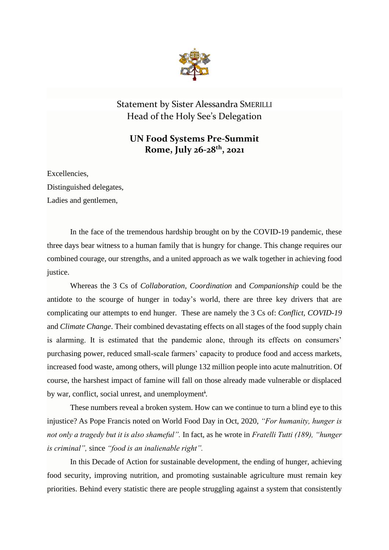

Statement by Sister Alessandra SMERILLI Head of the Holy See's Delegation

## **UN Food Systems Pre-Summit Rome, July 26-28th , 2021**

Excellencies,

Distinguished delegates,

Ladies and gentlemen,

In the face of the tremendous hardship brought on by the COVID-19 pandemic, these three days bear witness to a human family that is hungry for change. This change requires our combined courage, our strengths, and a united approach as we walk together in achieving food justice.

Whereas the 3 Cs of *Collaboration, Coordination* and *Companionship* could be the antidote to the scourge of hunger in today's world, there are three key drivers that are complicating our attempts to end hunger. These are namely the 3 Cs of: *Conflict, COVID-19*  and *Climate Change*. Their combined devastating effects on all stages of the food supply chain is alarming. It is estimated that the pandemic alone, through its effects on consumers' purchasing power, reduced small-scale farmers' capacity to produce food and access markets, increased food waste, among others, will plunge 132 million people into acute malnutrition. Of course, the harshest impact of famine will fall on those already made vulnerable or displaced by war, conflict, social unrest, and unemployment<sup>i</sup>.

These numbers reveal a broken system. How can we continue to turn a blind eye to this injustice? As Pope Francis noted on World Food Day in Oct, 2020, *"For humanity, hunger is not only a tragedy but it is also shameful".* In fact, as he wrote in *Fratelli Tutti (189), "hunger is criminal",* since *"food is an inalienable right".*

In this Decade of Action for sustainable development, the ending of hunger, achieving food security, improving nutrition, and promoting sustainable agriculture must remain key priorities. Behind every statistic there are people struggling against a system that consistently